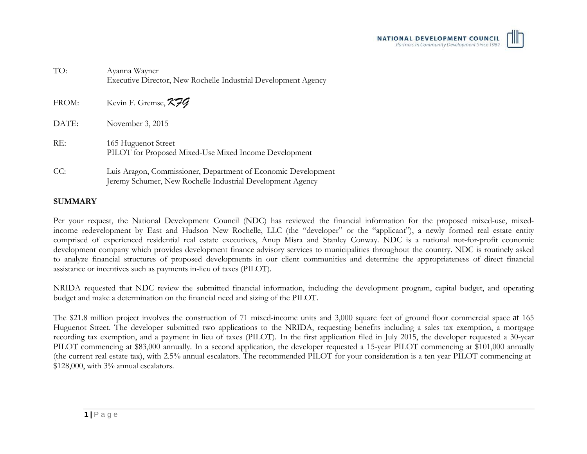

| TO:   | Ayanna Wayner<br>Executive Director, New Rochelle Industrial Development Agency                                             |
|-------|-----------------------------------------------------------------------------------------------------------------------------|
| FROM: | Kevin F. Gremse, $\chi$ 79                                                                                                  |
| DATE: | November 3, 2015                                                                                                            |
| RE:   | 165 Huguenot Street<br>PILOT for Proposed Mixed-Use Mixed Income Development                                                |
| CC:   | Luis Aragon, Commissioner, Department of Economic Development<br>Jeremy Schumer, New Rochelle Industrial Development Agency |

#### **SUMMARY**

Per your request, the National Development Council (NDC) has reviewed the financial information for the proposed mixed-use, mixedincome redevelopment by East and Hudson New Rochelle, LLC (the "developer" or the "applicant"), a newly formed real estate entity comprised of experienced residential real estate executives, Anup Misra and Stanley Conway. NDC is a national not-for-profit economic development company which provides development finance advisory services to municipalities throughout the country. NDC is routinely asked to analyze financial structures of proposed developments in our client communities and determine the appropriateness of direct financial assistance or incentives such as payments in-lieu of taxes (PILOT).

NRIDA requested that NDC review the submitted financial information, including the development program, capital budget, and operating budget and make a determination on the financial need and sizing of the PILOT.

The \$21.8 million project involves the construction of 71 mixed-income units and 3,000 square feet of ground floor commercial space at 165 Huguenot Street. The developer submitted two applications to the NRIDA, requesting benefits including a sales tax exemption, a mortgage recording tax exemption, and a payment in lieu of taxes (PILOT). In the first application filed in July 2015, the developer requested a 30-year PILOT commencing at \$83,000 annually. In a second application, the developer requested a 15-year PILOT commencing at \$101,000 annually (the current real estate tax), with 2.5% annual escalators. The recommended PILOT for your consideration is a ten year PILOT commencing at \$128,000, with 3% annual escalators.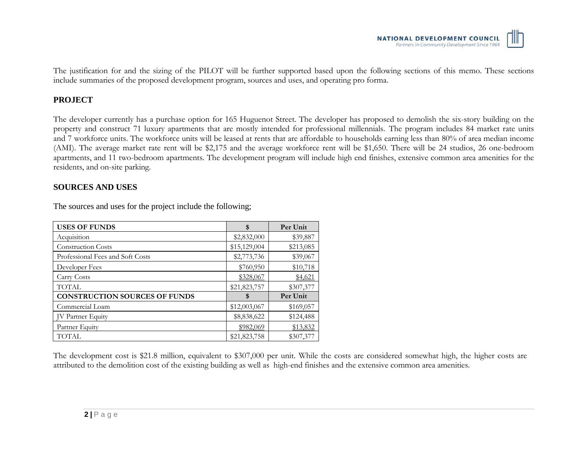**NATIONAL DEVELOPMENT COUNCIL**<br>Partners in Community Development Since 1969

The justification for and the sizing of the PILOT will be further supported based upon the following sections of this memo. These sections include summaries of the proposed development program, sources and uses, and operating pro forma.

# **PROJECT**

The developer currently has a purchase option for 165 Huguenot Street. The developer has proposed to demolish the six-story building on the property and construct 71 luxury apartments that are mostly intended for professional millennials. The program includes 84 market rate units and 7 workforce units. The workforce units will be leased at rents that are affordable to households earning less than 80% of area median income (AMI). The average market rate rent will be \$2,175 and the average workforce rent will be \$1,650. There will be 24 studios, 26 one-bedroom apartments, and 11 two-bedroom apartments. The development program will include high end finishes, extensive common area amenities for the residents, and on-site parking.

## **SOURCES AND USES**

The sources and uses for the project include the following;

| <b>USES OF FUNDS</b>                 | \$           | Per Unit  |
|--------------------------------------|--------------|-----------|
| Acquisition                          | \$2,832,000  | \$39,887  |
| <b>Construction Costs</b>            | \$15,129,004 | \$213,085 |
| Professional Fees and Soft Costs     | \$2,773,736  | \$39,067  |
| Developer Fees                       | \$760,950    | \$10,718  |
| Carry Costs                          | \$328,067    | \$4,621   |
| <b>TOTAL</b>                         | \$21,823,757 | \$307,377 |
| <b>CONSTRUCTION SOURCES OF FUNDS</b> | \$           | Per Unit  |
| Commercial Loam                      | \$12,003,067 | \$169,057 |
| JV Partner Equity                    | \$8,838,622  | \$124,488 |
| Partner Equity                       | \$982,069    | \$13,832  |
| <b>TOTAL</b>                         | \$21,823,758 | \$307,377 |

The development cost is \$21.8 million, equivalent to \$307,000 per unit. While the costs are considered somewhat high, the higher costs are attributed to the demolition cost of the existing building as well as high-end finishes and the extensive common area amenities.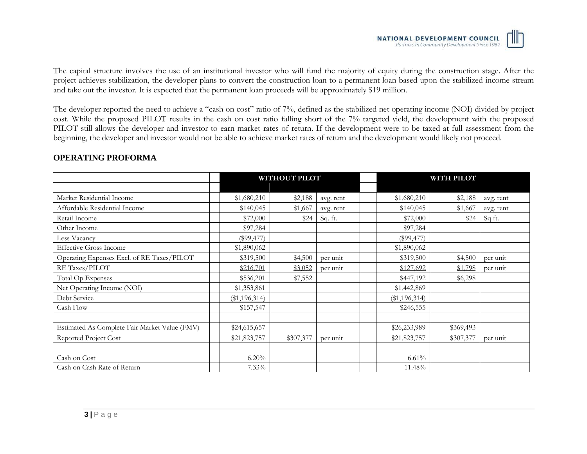The capital structure involves the use of an institutional investor who will fund the majority of equity during the construction stage. After the project achieves stabilization, the developer plans to convert the construction loan to a permanent loan based upon the stabilized income stream and take out the investor. It is expected that the permanent loan proceeds will be approximately \$19 million.

The developer reported the need to achieve a "cash on cost" ratio of 7%, defined as the stabilized net operating income (NOI) divided by project cost. While the proposed PILOT results in the cash on cost ratio falling short of the 7% targeted yield, the development with the proposed PILOT still allows the developer and investor to earn market rates of return. If the development were to be taxed at full assessment from the beginning, the developer and investor would not be able to achieve market rates of return and the development would likely not proceed.

|                                               | <b>WITHOUT PILOT</b> |           | <b>WITH PILOT</b> |               |           |           |
|-----------------------------------------------|----------------------|-----------|-------------------|---------------|-----------|-----------|
|                                               |                      |           |                   |               |           |           |
| Market Residential Income                     | \$1,680,210          | \$2,188   | avg. rent         | \$1,680,210   | \$2,188   | avg. rent |
| Affordable Residential Income                 | \$140,045            | \$1,667   | avg. rent         | \$140,045     | \$1,667   | avg. rent |
| Retail Income                                 | \$72,000             | \$24      | Sq. ft.           | \$72,000      | \$24      | Sq ft.    |
| Other Income                                  | \$97,284             |           |                   | \$97,284      |           |           |
| Less Vacancy                                  | $(\$99,477)$         |           |                   | $(\$99,477)$  |           |           |
| <b>Effective Gross Income</b>                 | \$1,890,062          |           |                   | \$1,890,062   |           |           |
| Operating Expenses Excl. of RE Taxes/PILOT    | \$319,500            | \$4,500   | per unit          | \$319,500     | \$4,500   | per unit  |
| RE Taxes/PILOT                                | \$216,701            | \$3,052   | per unit          | \$127,692     | \$1,798   | per unit  |
| Total Op Expenses                             | \$536,201            | \$7,552   |                   | \$447,192     | \$6,298   |           |
| Net Operating Income (NOI)                    | \$1,353,861          |           |                   | \$1,442,869   |           |           |
| Debt Service                                  | (\$1,196,314)        |           |                   | (\$1,196,314) |           |           |
| Cash Flow                                     | \$157,547            |           |                   | \$246,555     |           |           |
|                                               |                      |           |                   |               |           |           |
| Estimated As Complete Fair Market Value (FMV) | \$24,615,657         |           |                   | \$26,233,989  | \$369,493 |           |
| <b>Reported Project Cost</b>                  | \$21,823,757         | \$307,377 | per unit          | \$21,823,757  | \$307,377 | per unit  |
|                                               |                      |           |                   |               |           |           |
| Cash on Cost                                  | 6.20%                |           |                   | 6.61%         |           |           |
| Cash on Cash Rate of Return                   | 7.33%                |           |                   | 11.48%        |           |           |

# **OPERATING PROFORMA**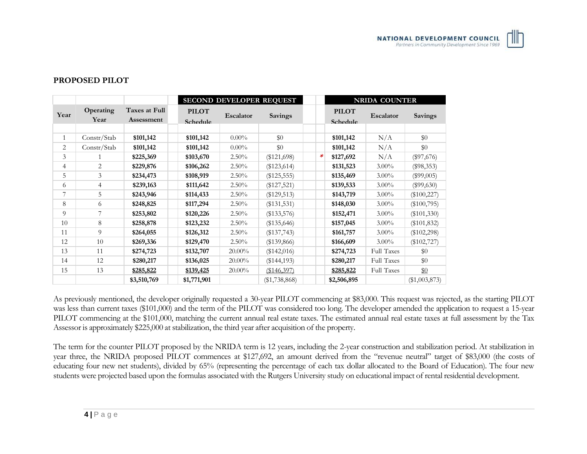

| <b>SECOND DEVELOPER REOUEST</b> |           |                |                 | <b>NRIDA COUNTER</b> |  |
|---------------------------------|-----------|----------------|-----------------|----------------------|--|
| <b>PILOT</b>                    | Escalator | <b>Savings</b> | <b>PILOT</b>    | Escalator            |  |
| Schedule                        |           |                | <b>Schedule</b> |                      |  |

| Year           | Operating<br>Year | Taxes at Full<br>Assessment | <b>PILOT</b><br>Schedule | Escalator | <b>Savings</b>  |   | <b>PILOT</b><br><b>Schedule</b> | Escalator         | <b>Savings</b>  |
|----------------|-------------------|-----------------------------|--------------------------|-----------|-----------------|---|---------------------------------|-------------------|-----------------|
|                |                   |                             |                          |           |                 |   |                                 |                   |                 |
| 1              | Constr/Stab       | \$101,142                   | \$101,142                | $0.00\%$  | \$0             |   | \$101,142                       | N/A               | \$0             |
| 2              | Constr/Stab       | \$101,142                   | \$101,142                | $0.00\%$  | \$0             |   | \$101,142                       | N/A               | \$0             |
| 3              |                   | \$225,369                   | \$103,670                | $2.50\%$  | $(\$121,698)$   | * | \$127,692                       | N/A               | $(\$97,676)$    |
| $\overline{4}$ | $\overline{2}$    | \$229,876                   | \$106,262                | $2.50\%$  | $(\$123,614)$   |   | \$131,523                       | $3.00\%$          | $(\$98,353)$    |
| 5              | 3                 | \$234,473                   | \$108,919                | $2.50\%$  | $(\$125,555)$   |   | \$135,469                       | $3.00\%$          | $(\$99,005)$    |
| 6              | 4                 | \$239,163                   | \$111,642                | $2.50\%$  | $(\$127,521)$   |   | \$139,533                       | $3.00\%$          | $(\$99,630)$    |
| 7              | 5                 | \$243,946                   | \$114,433                | $2.50\%$  | $(\$129,513)$   |   | \$143,719                       | $3.00\%$          | $(\$100,227)$   |
| 8              | 6                 | \$248,825                   | \$117,294                | $2.50\%$  | $(\$131,531)$   |   | \$148,030                       | $3.00\%$          | $(\$100,795)$   |
| 9              | 7                 | \$253,802                   | \$120,226                | $2.50\%$  | $(\$133,576)$   |   | \$152,471                       | $3.00\%$          | $(\$101,330)$   |
| 10             | 8                 | \$258,878                   | \$123,232                | $2.50\%$  | $(\$135,646)$   |   | \$157,045                       | $3.00\%$          | $(\$101,832)$   |
| 11             | 9                 | \$264,055                   | \$126,312                | $2.50\%$  | $(\$137,743)$   |   | \$161,757                       | $3.00\%$          | $(\$102,298)$   |
| 12             | 10                | \$269,336                   | \$129,470                | $2.50\%$  | $(\$139,866)$   |   | \$166,609                       | $3.00\%$          | $(\$102,727)$   |
| 13             | 11                | \$274,723                   | \$132,707                | 20.00%    | $(\$142,016)$   |   | \$274,723                       | <b>Full Taxes</b> | $\$0$           |
| 14             | 12                | \$280,217                   | \$136,025                | 20.00%    | $(\$144,193)$   |   | \$280,217                       | <b>Full Taxes</b> | \$0             |
| 15             | 13                | \$285,822                   | \$139,425                | $20.00\%$ | (\$146,397)     |   | \$285,822                       | <b>Full Taxes</b> | \$0             |
|                |                   | \$3,510,769                 | \$1,771,901              |           | $(\$1,738,868)$ |   | \$2,506,895                     |                   | $(\$1,003,873)$ |

As previously mentioned, the developer originally requested a 30-year PILOT commencing at \$83,000. This request was rejected, as the starting PILOT was less than current taxes (\$101,000) and the term of the PILOT was considered too long. The developer amended the application to request a 15-year PILOT commencing at the \$101,000, matching the current annual real estate taxes. The estimated annual real estate taxes at full assessment by the Tax Assessor is approximately \$225,000 at stabilization, the third year after acquisition of the property.

The term for the counter PILOT proposed by the NRIDA term is 12 years, including the 2-year construction and stabilization period. At stabilization in year three, the NRIDA proposed PILOT commences at \$127,692, an amount derived from the "revenue neutral" target of \$83,000 (the costs of educating four new net students), divided by 65% (representing the percentage of each tax dollar allocated to the Board of Education). The four new students were projected based upon the formulas associated with the Rutgers University study on educational impact of rental residential development.

**PROPOSED PILOT**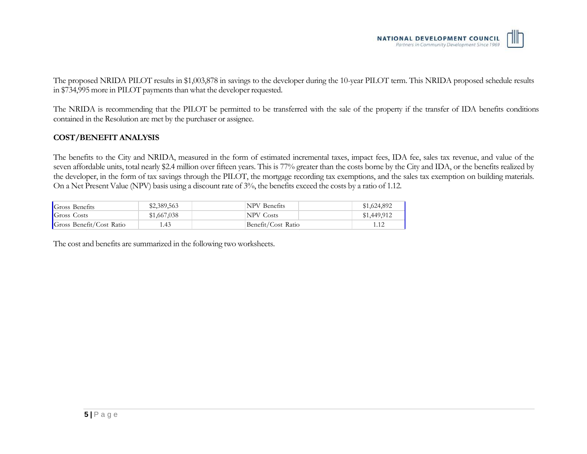

The proposed NRIDA PILOT results in \$1,003,878 in savings to the developer during the 10-year PILOT term. This NRIDA proposed schedule results in \$734,995 more in PILOT payments than what the developer requested.

The NRIDA is recommending that the PILOT be permitted to be transferred with the sale of the property if the transfer of IDA benefits conditions contained in the Resolution are met by the purchaser or assignee.

### **COST/BENEFIT ANALYSIS**

The benefits to the City and NRIDA, measured in the form of estimated incremental taxes, impact fees, IDA fee, sales tax revenue, and value of the seven affordable units, total nearly \$2.4 million over fifteen years. This is 77% greater than the costs borne by the City and IDA, or the benefits realized by the developer, in the form of tax savings through the PILOT, the mortgage recording tax exemptions, and the sales tax exemption on building materials. On a Net Present Value (NPV) basis using a discount rate of 3%, the benefits exceed the costs by a ratio of 1.12.

| Gross Benefits           | \$2,389,563 | NPV Benefits       | \$1,624,892 |
|--------------------------|-------------|--------------------|-------------|
| Gross Costs              | \$1,667,038 | 'NPV Costs         | \$1,449,912 |
| Gross Benefit/Cost Ratio | .43         | Benefit/Cost Ratio |             |

The cost and benefits are summarized in the following two worksheets.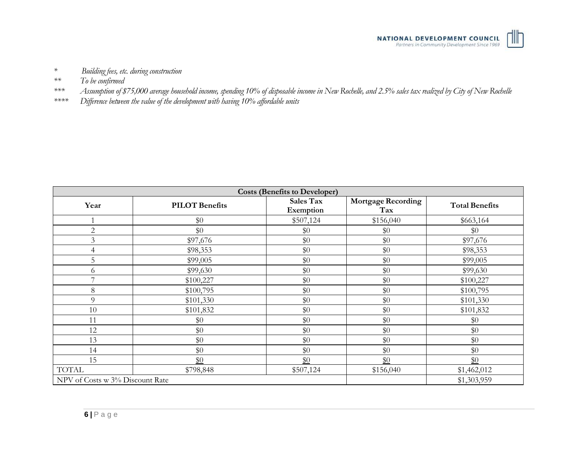

*\* Building fees, etc. during construction*

*\*\* To be confirmed*

\*\*\* Assumption of \$75,000 average household income, spending 10% of disposable income in New Rochelle, and 2.5% sales tax realized by City of New Rochelle

*\*\*\*\* Difference between the value of the development with having 10% affordable units*

| <b>Costs (Benefits to Developer)</b> |                       |                               |                                  |                       |  |  |  |
|--------------------------------------|-----------------------|-------------------------------|----------------------------------|-----------------------|--|--|--|
| Year                                 | <b>PILOT Benefits</b> | <b>Sales Tax</b><br>Exemption | <b>Mortgage Recording</b><br>Tax | <b>Total Benefits</b> |  |  |  |
| 1                                    | \$0                   | \$507,124                     | \$156,040                        | \$663,164             |  |  |  |
| $\mathbf{2}$                         | \$0                   | \$0                           | \$0                              | \$0                   |  |  |  |
| 3                                    | \$97,676              | \$0                           | \$0                              | \$97,676              |  |  |  |
| $\overline{4}$                       | \$98,353              | \$0                           | \$0                              | \$98,353              |  |  |  |
| 5                                    | \$99,005              | \$0                           | \$0                              | \$99,005              |  |  |  |
| 6                                    | \$99,630              | \$0                           | \$0                              | \$99,630              |  |  |  |
| 7                                    | \$100,227             | \$0                           | \$0                              | \$100,227             |  |  |  |
| 8                                    | \$100,795             | \$0                           | \$0                              | \$100,795             |  |  |  |
| 9                                    | \$101,330             | \$0                           | \$0                              | \$101,330             |  |  |  |
| 10                                   | \$101,832             | \$0                           | \$0                              | \$101,832             |  |  |  |
| 11                                   | \$0                   | \$0                           | \$0                              | \$0                   |  |  |  |
| 12                                   | \$0                   | \$0                           | \$0                              | \$0                   |  |  |  |
| 13                                   | \$0                   | \$0                           | \$0                              | \$0                   |  |  |  |
| 14                                   | \$0                   | \$0                           | \$0                              | \$0                   |  |  |  |
| 15                                   | \$0                   | \$0                           | \$0                              | $\underline{\$0}$     |  |  |  |
| <b>TOTAL</b>                         | \$798,848             | \$507,124                     | \$156,040                        | \$1,462,012           |  |  |  |
| NPV of Costs w 3% Discount Rate      |                       |                               |                                  | \$1,303,959           |  |  |  |